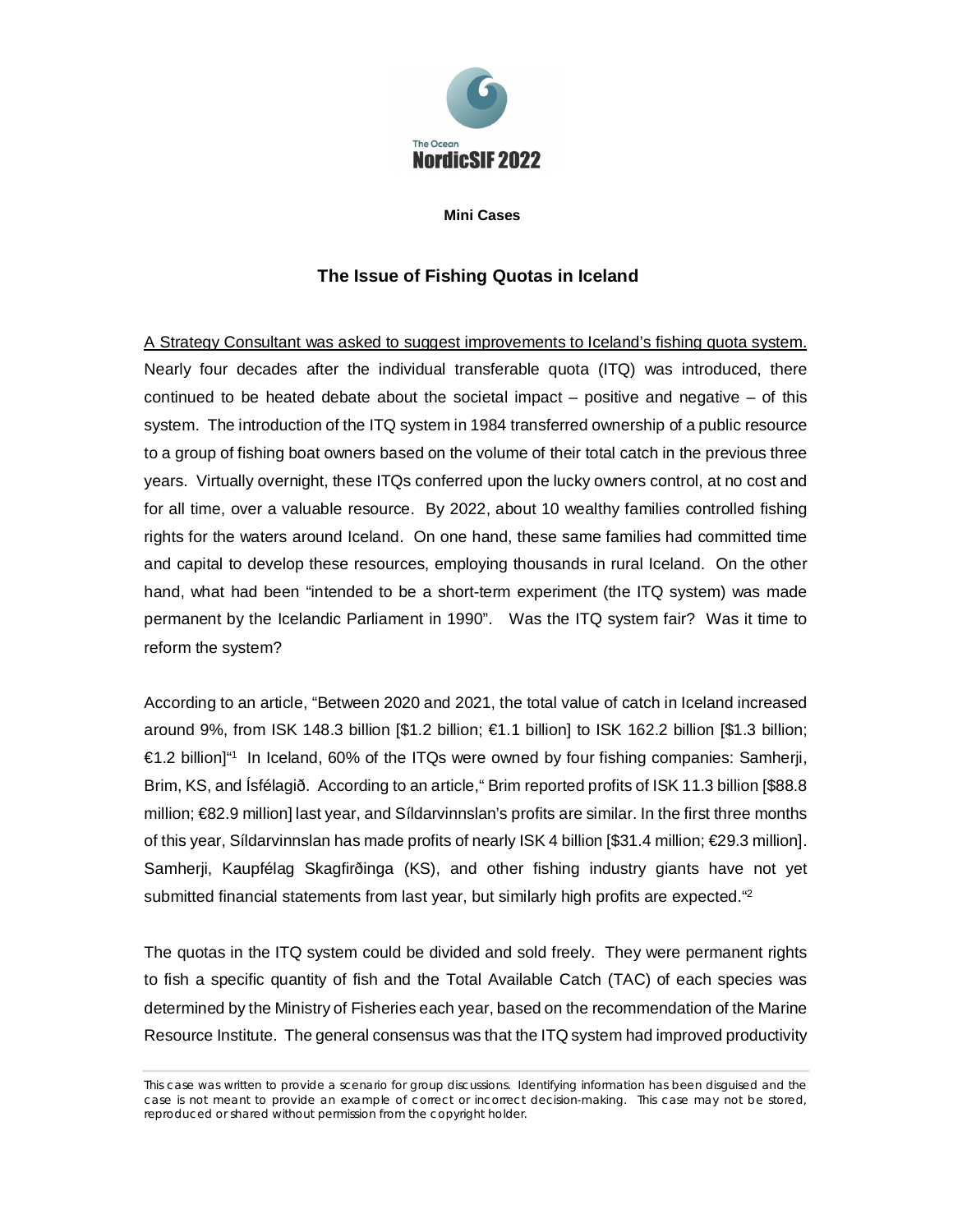

**Mini Cases**

## **The Issue of Fishing Quotas in Iceland**

A Strategy Consultant was asked to suggest improvements to Iceland's fishing quota system. Nearly four decades after the individual transferable quota (ITQ) was introduced, there continued to be heated debate about the societal impact  $-$  positive and negative  $-$  of this system. The introduction of the ITQ system in 1984 transferred ownership of a public resource to a group of fishing boat owners based on the volume of their total catch in the previous three years. Virtually overnight, these ITQs conferred upon the lucky owners control, at no cost and for all time, over a valuable resource. By 2022, about 10 wealthy families controlled fishing rights for the waters around Iceland. On one hand, these same families had committed time and capital to develop these resources, employing thousands in rural Iceland. On the other hand, what had been "intended to be a short-term experiment (the ITQ system) was made permanent by the Icelandic Parliament in 1990". Was the ITQ system fair? Was it time to reform the system?

According to an article, "Between 2020 and 2021, the total value of catch in Iceland increased around 9%, from ISK 148.3 billion [\$1.2 billion; €1.1 billion] to ISK 162.2 billion [\$1.3 billion; €1.2 billion]"<sup>1</sup> In Iceland, 60% of the ITQs were owned by four fishing companies: Samherji, Brim, KS, and Ísfélagið. According to an article," Brim reported profits of ISK 11.3 billion [\$88.8 million; €82.9 million] last year, and Síldarvinnslan's profits are similar. In the first three months of this year, Síldarvinnslan has made profits of nearly ISK 4 billion [\$31.4 million; €29.3 million]. Samherji, Kaupfélag Skagfirðinga (KS), and other fishing industry giants have not yet submitted financial statements from last year, but similarly high profits are expected.<sup>"2</sup>

The quotas in the ITQ system could be divided and sold freely. They were permanent rights to fish a specific quantity of fish and the Total Available Catch (TAC) of each species was determined by the Ministry of Fisheries each year, based on the recommendation of the Marine Resource Institute. The general consensus was that the ITQ system had improved productivity

This case was written to provide a scenario for group discussions. Identifying information has been disguised and the case is not meant to provide an example of correct or incorrect decision-making. This case may not be stored, reproduced or shared without permission from the copyright holder.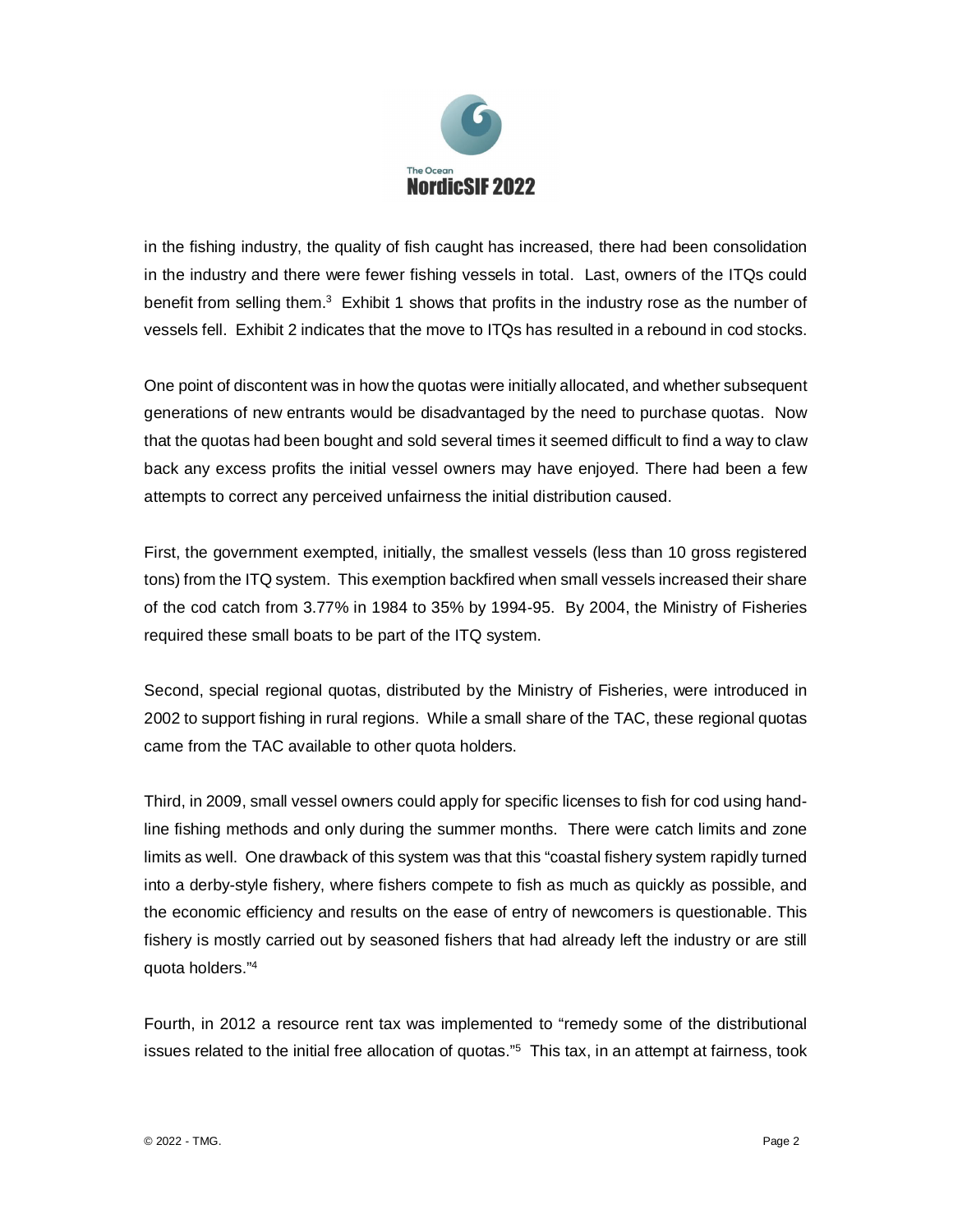

in the fishing industry, the quality of fish caught has increased, there had been consolidation in the industry and there were fewer fishing vessels in total. Last, owners of the ITQs could benefit from selling them.<sup>3</sup> Exhibit 1 shows that profits in the industry rose as the number of vessels fell. Exhibit 2 indicates that the move to ITQs has resulted in a rebound in cod stocks.

One point of discontent was in how the quotas were initially allocated, and whether subsequent generations of new entrants would be disadvantaged by the need to purchase quotas. Now that the quotas had been bought and sold several times it seemed difficult to find a way to claw back any excess profits the initial vessel owners may have enjoyed. There had been a few attempts to correct any perceived unfairness the initial distribution caused.

First, the government exempted, initially, the smallest vessels (less than 10 gross registered tons) from the ITQ system. This exemption backfired when small vessels increased their share of the cod catch from 3.77% in 1984 to 35% by 1994-95. By 2004, the Ministry of Fisheries required these small boats to be part of the ITQ system.

Second, special regional quotas, distributed by the Ministry of Fisheries, were introduced in 2002 to support fishing in rural regions. While a small share of the TAC, these regional quotas came from the TAC available to other quota holders.

Third, in 2009, small vessel owners could apply for specific licenses to fish for cod using handline fishing methods and only during the summer months. There were catch limits and zone limits as well. One drawback of this system was that this "coastal fishery system rapidly turned into a derby-style fishery, where fishers compete to fish as much as quickly as possible, and the economic efficiency and results on the ease of entry of newcomers is questionable. This fishery is mostly carried out by seasoned fishers that had already left the industry or are still quota holders."<sup>4</sup>

Fourth, in 2012 a resource rent tax was implemented to "remedy some of the distributional issues related to the initial free allocation of quotas."<sup>5</sup> This tax, in an attempt at fairness, took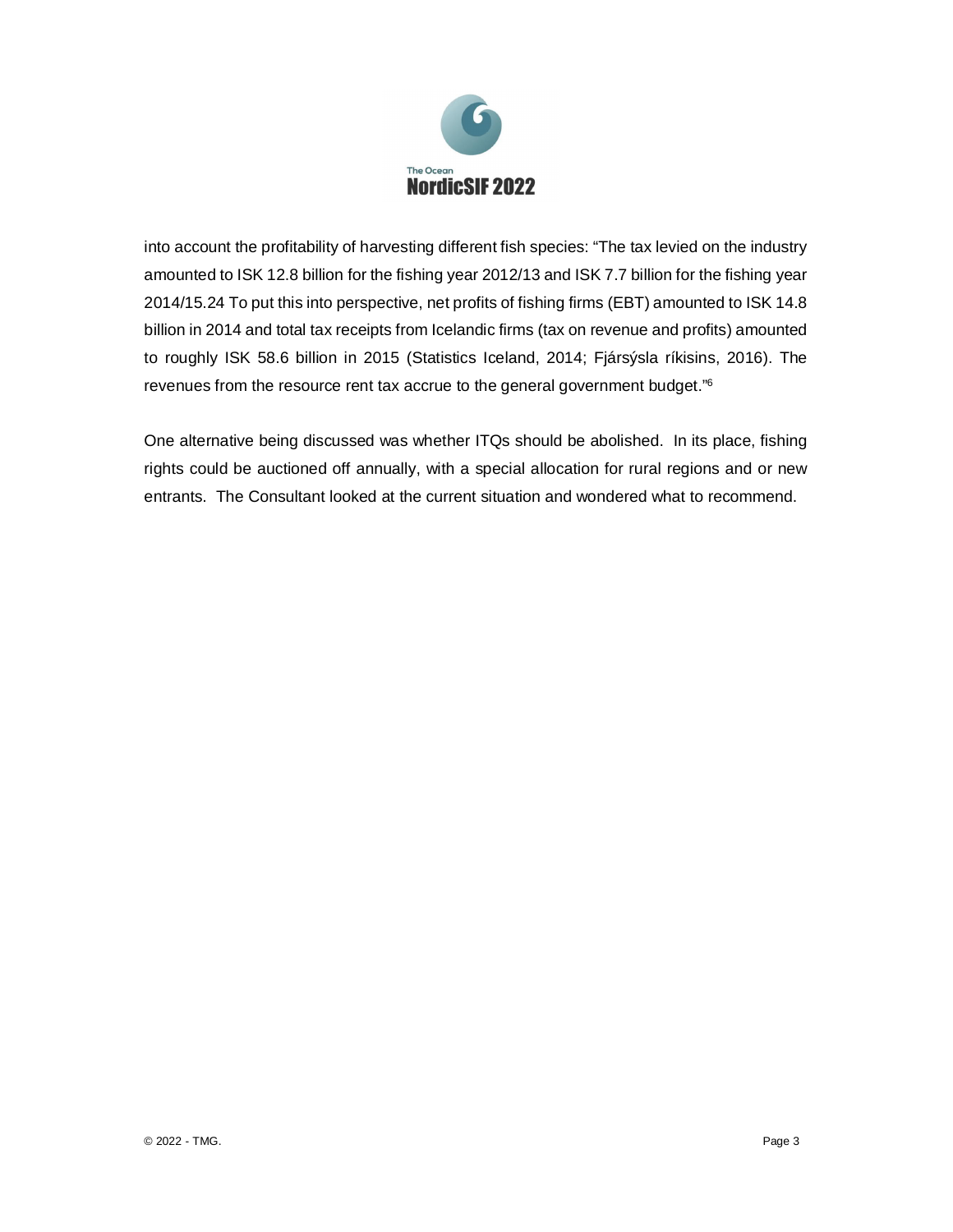

into account the profitability of harvesting different fish species: "The tax levied on the industry amounted to ISK 12.8 billion for the fishing year 2012/13 and ISK 7.7 billion for the fishing year 2014/15.24 To put this into perspective, net profits of fishing firms (EBT) amounted to ISK 14.8 billion in 2014 and total tax receipts from Icelandic firms (tax on revenue and profits) amounted to roughly ISK 58.6 billion in 2015 (Statistics Iceland, 2014; Fjársýsla ríkisins, 2016). The revenues from the resource rent tax accrue to the general government budget."<sup>6</sup>

One alternative being discussed was whether ITQs should be abolished. In its place, fishing rights could be auctioned off annually, with a special allocation for rural regions and or new entrants. The Consultant looked at the current situation and wondered what to recommend.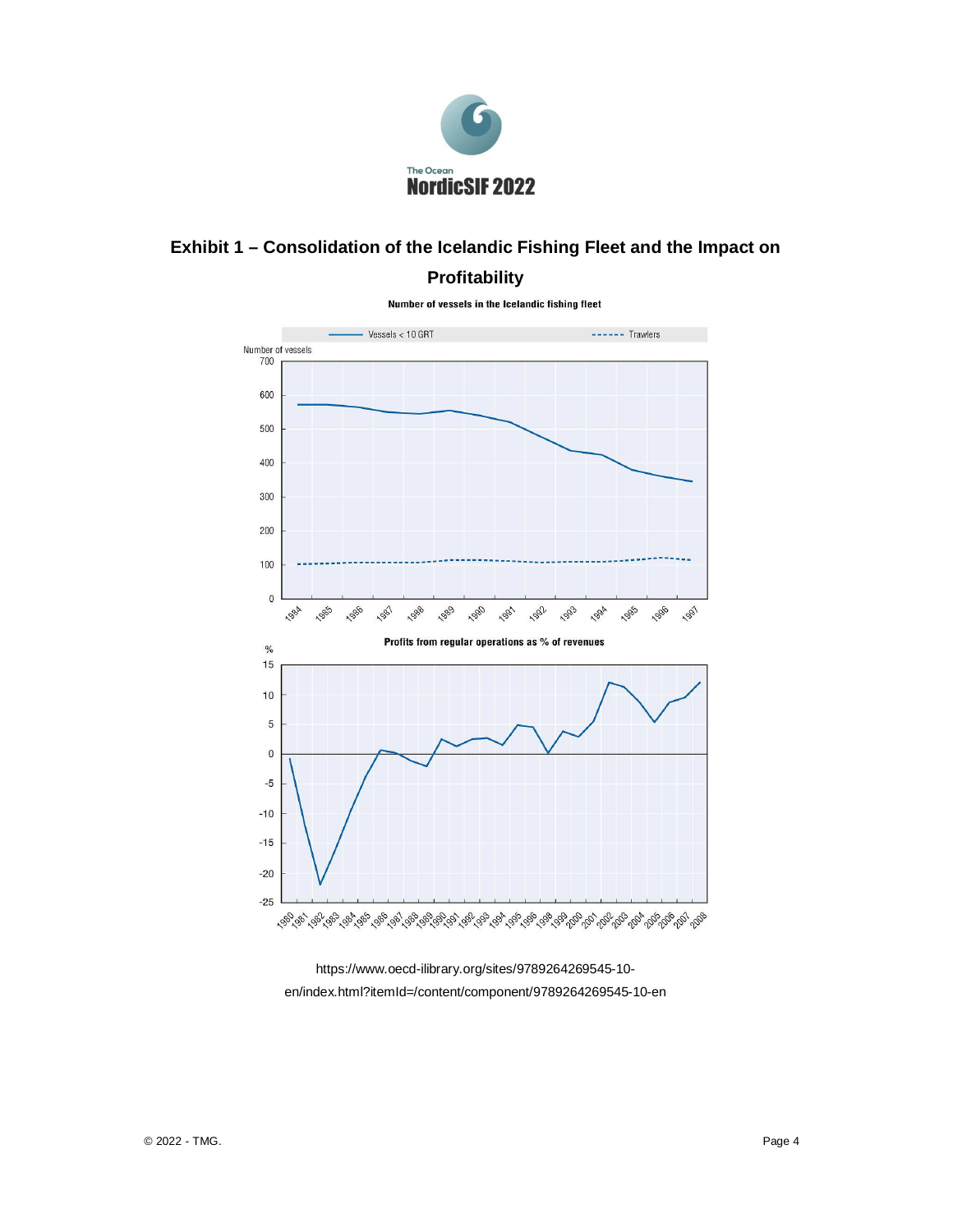

## **Exhibit 1 – Consolidation of the Icelandic Fishing Fleet and the Impact on Profitability**



Number of vessels in the Icelandic fishing fleet

https://www.oecd-ilibrary.org/sites/9789264269545-10 en/index.html?itemId=/content/component/9789264269545-10-en